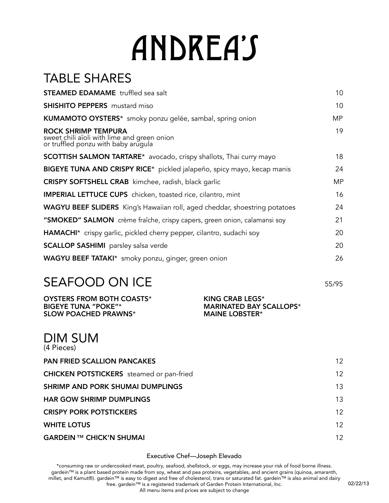# ANDREA'S

#### TABLE SHARES **STEAMED EDAMAME** truffled sea salt 10 **SHISHITO PEPPERS** mustard miso 10 KUMAMOTO OYSTERS\* smoky ponzu gelée, sambal, spring onion MP ROCK SHRIMP TEMPURA 19 sweet chili aïoli with lime and green onion or truffled ponzu with baby arugula **SCOTTISH SALMON TARTARE**\* avocado, crispy shallots, Thai curry mayo 18 BIGEYE TUNA AND CRISPY RICE\* pickled jalapeño, spicy mayo, kecap manis 24 CRISPY SOFTSHELL CRAB kimchee, radish, black garlic MP IMPERIAL LETTUCE CUPS chicken, toasted rice, cilantro, mint 16 WAGYU BEEF SLIDERS King's Hawaiian roll, aged cheddar, shoestring potatoes 24 "SMOKED" SALMON crème fraîche, crispy capers, green onion, calamansi soy 21 HAMACHI\* crispy garlic, pickled cherry pepper, cilantro, sudachi soy 20 **SCALLOP SASHIMI** parsley salsa verde 20 and 20 and 20 and 20 and 20 and 20 and 20 and 20 and 20 and 20 and 20 and 20 and 20 and 20 and 20 and 20 and 20 and 20 and 20 and 20 and 20 and 20 and 20 and 20 and 20 and 20 and 20 WAGYU BEEF TATAKI\* smoky ponzu, ginger, green onion 26

#### SEAFOOD ON ICE 55/95

SLOW POACHED PRAWNS\*

#### OYSTERS FROM BOTH COASTS\* KING CRAB LEGS\* MARINATED BAY SCALLOPS\*<br>MAINE LOBSTER\*

#### DIM SUM (4 Pieces)

| <b>PAN FRIED SCALLION PANCAKES</b>              | 12 <sup>°</sup> |
|-------------------------------------------------|-----------------|
| <b>CHICKEN POTSTICKERS</b> steamed or pan-fried | 12 <sup>°</sup> |
| <b>SHRIMP AND PORK SHUMAI DUMPLINGS</b>         | 13              |
| <b>HAR GOW SHRIMP DUMPLINGS</b>                 | 13              |
| <b>CRISPY PORK POTSTICKERS</b>                  | 12 <sup>°</sup> |
| <b>WHITE LOTUS</b>                              | 12 <sup>°</sup> |
| GARDEIN ™ CHICK'N SHUMAI                        | 12 <sup>°</sup> |

#### Executive Chef—Joseph Elevado

\*consuming raw or undercooked meat, poultry, seafood, shellstock, or eggs, may increase your risk of food borne illness. gardein™ is a plant based protein made from soy, wheat and pea proteins, vegetables, and ancient grains (quinoa, amaranth, millet, and Kamut®). gardein™ is easy to digest and free of cholesterol, trans or saturated fat. gardein™ is also animal and dairy free. gardein™ is a registered trademark of Garden Protein International, Inc. All menu items and prices are subject to change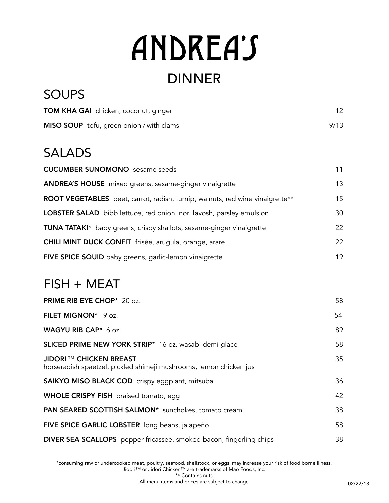# ANDREA'S DINNER

#### SOUPS

| TOM KHA GAI chicken, coconut, ginger     | 12   |
|------------------------------------------|------|
| MISO SOUP tofu, green onion / with clams | 9/13 |

#### SALADS

| <b>CUCUMBER SUNOMONO</b> sesame seeds                                         | 11 |
|-------------------------------------------------------------------------------|----|
| <b>ANDREA'S HOUSE</b> mixed greens, sesame-ginger vinaigrette                 | 13 |
| ROOT VEGETABLES beet, carrot, radish, turnip, walnuts, red wine vinaigrette** | 15 |
| LOBSTER SALAD bibb lettuce, red onion, nori lavosh, parsley emulsion          | 30 |
| TUNA TATAKI* baby greens, crispy shallots, sesame-ginger vinaigrette          | 22 |
| <b>CHILI MINT DUCK CONFIT</b> frisée, arugula, orange, arare                  | 22 |
| FIVE SPICE SQUID baby greens, garlic-lemon vinaigrette                        | 19 |

#### FISH + MEAT

| PRIME RIB EYE CHOP* 20 oz.                                                                           | 58 |
|------------------------------------------------------------------------------------------------------|----|
| FILET MIGNON* 9 oz.                                                                                  | 54 |
| WAGYU RIB CAP* 6 oz.                                                                                 | 89 |
| SLICED PRIME NEW YORK STRIP* 16 oz. wasabi demi-glace                                                | 58 |
| <b>JIDORI ™ CHICKEN BREAST</b><br>horseradish spaetzel, pickled shimeji mushrooms, lemon chicken jus | 35 |
| SAIKYO MISO BLACK COD crispy eggplant, mitsuba                                                       | 36 |
| <b>WHOLE CRISPY FISH</b> braised tomato, egg                                                         | 42 |
| PAN SEARED SCOTTISH SALMON* sunchokes, tomato cream                                                  | 38 |
| FIVE SPICE GARLIC LOBSTER long beans, jalapeño                                                       | 58 |
| <b>DIVER SEA SCALLOPS</b> pepper fricassee, smoked bacon, fingerling chips                           | 38 |

\*consuming raw or undercooked meat, poultry, seafood, shellstock, or eggs, may increase your risk of food borne illness. Jidori™ or Jidori Chicken™ are trademarks of Mao Foods, Inc.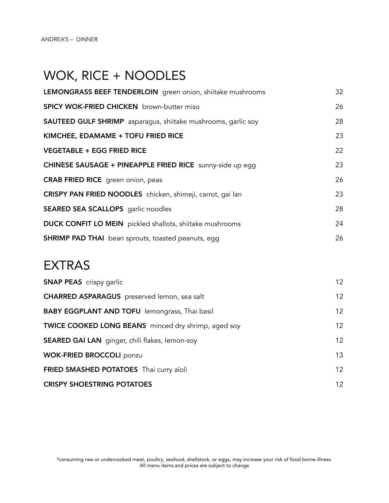#### WOK, RICE + NOODLES

| LEMONGRASS BEEF TENDERLOIN green onion, shiitake mushrooms    | 32 |
|---------------------------------------------------------------|----|
| SPICY WOK-FRIED CHICKEN brown-butter miso                     | 26 |
| SAUTEED GULF SHRIMP asparagus, shiitake mushrooms, garlic soy | 28 |
| KIMCHEE, EDAMAME + TOFU FRIED RICE                            | 23 |
| <b>VEGETABLE + EGG FRIED RICE</b>                             | 22 |
| CHINESE SAUSAGE + PINEAPPLE FRIED RICE sunny-side up egg      | 23 |
| <b>CRAB FRIED RICE</b> green onion, peas                      | 26 |
| CRISPY PAN FRIED NOODLES chicken, shimeji, carrot, gai lan    | 23 |
| <b>SEARED SEA SCALLOPS</b> garlic noodles                     | 28 |
| DUCK CONFIT LO MEIN pickled shallots, shiitake mushrooms      | 24 |
| <b>SHRIMP PAD THAI</b> bean sprouts, toasted peanuts, egg     | 26 |

#### EXTRAS

| <b>SNAP PEAS</b> crispy garlic                             | 12 |
|------------------------------------------------------------|----|
| CHARRED ASPARAGUS preserved lemon, sea salt                | 12 |
| <b>BABY EGGPLANT AND TOFU</b> lemongrass, Thai basil       | 12 |
| <b>TWICE COOKED LONG BEANS</b> minced dry shrimp, aged soy | 12 |
| <b>SEARED GAI LAN</b> ginger, chili flakes, lemon-soy      | 12 |
| <b>WOK-FRIED BROCCOLI ponzu</b>                            | 13 |
| FRIED SMASHED POTATOES Thai curry aïoli                    | 12 |
| <b>CRISPY SHOESTRING POTATOES</b>                          | 12 |

\*consuming raw or undercooked meat, poultry, seafood, shellstock, or eggs, may increase your risk of food borne illness. All menu items and prices are subject to change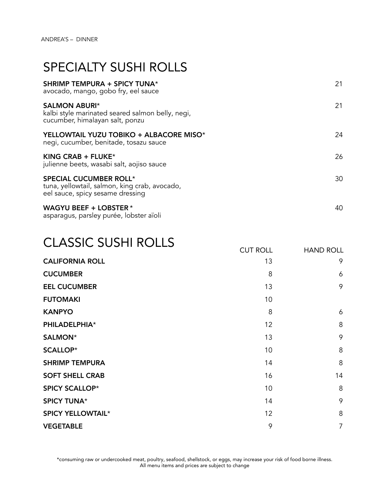#### SPECIALTY SUSHI ROLLS

| SHRIMP TEMPURA + SPICY TUNA*<br>avocado, mango, gobo fry, eel sauce                                                | 21 |
|--------------------------------------------------------------------------------------------------------------------|----|
| <b>SALMON ABURI*</b><br>kalbi style marinated seared salmon belly, negi,<br>cucumber, himalayan salt, ponzu        | 21 |
| YELLOWTAIL YUZU TOBIKO + ALBACORE MISO*<br>negi, cucumber, benitade, tosazu sauce                                  | 24 |
| KING CRAB + FLUKE*<br>julienne beets, wasabi salt, aojiso sauce                                                    | 26 |
| <b>SPECIAL CUCUMBER ROLL*</b><br>tuna, yellowtail, salmon, king crab, avocado,<br>eel sauce, spicy sesame dressing | 30 |
| <b>WAGYU BEEF + LOBSTER *</b><br>asparagus, parsley purée, lobster aïoli                                           | 40 |

#### CLASSIC SUSHI ROLLS

|                          | <b>CUT ROLL</b> | <b>HAND ROLL</b> |
|--------------------------|-----------------|------------------|
| <b>CALIFORNIA ROLL</b>   | 13              | 9                |
| <b>CUCUMBER</b>          | 8               | 6                |
| <b>EEL CUCUMBER</b>      | 13              | 9                |
| <b>FUTOMAKI</b>          | 10              |                  |
| <b>KANPYO</b>            | 8               | 6                |
| PHILADELPHIA*            | 12              | 8                |
| SALMON*                  | 13              | 9                |
| SCALLOP*                 | 10              | 8                |
| <b>SHRIMP TEMPURA</b>    | 14              | 8                |
| <b>SOFT SHELL CRAB</b>   | 16              | 14               |
| <b>SPICY SCALLOP*</b>    | 10              | 8                |
| <b>SPICY TUNA*</b>       | 14              | 9                |
| <b>SPICY YELLOWTAIL*</b> | 12              | 8                |
| <b>VEGETABLE</b>         | 9               | $\overline{7}$   |

\*consuming raw or undercooked meat, poultry, seafood, shellstock, or eggs, may increase your risk of food borne illness. All menu items and prices are subject to change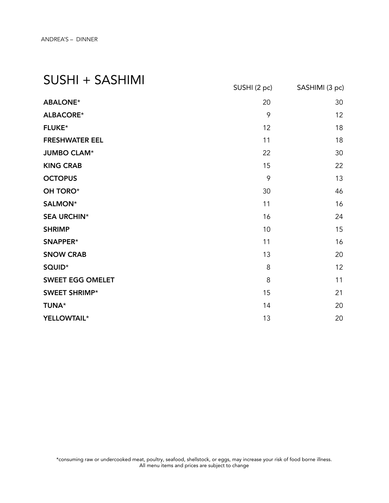#### SUSHI + SASHIMI

|                         | SUSHI (2 pc) | SASHIMI (3 pc)  |
|-------------------------|--------------|-----------------|
| <b>ABALONE*</b>         | 20           | 30              |
| ALBACORE*               | 9            | 12 <sup>2</sup> |
| <b>FLUKE*</b>           | 12           | 18              |
| <b>FRESHWATER EEL</b>   | 11           | 18              |
| <b>JUMBO CLAM*</b>      | 22           | 30              |
| <b>KING CRAB</b>        | 15           | 22              |
| <b>OCTOPUS</b>          | 9            | 13              |
| OH TORO*                | 30           | 46              |
| SALMON*                 | 11           | 16              |
| <b>SEA URCHIN*</b>      | 16           | 24              |
| <b>SHRIMP</b>           | 10           | 15              |
| SNAPPER*                | 11           | 16              |
| <b>SNOW CRAB</b>        | 13           | 20              |
| SQUID*                  | 8            | 12              |
| <b>SWEET EGG OMELET</b> | 8            | 11              |
| SWEET SHRIMP*           | 15           | 21              |
| <b>TUNA*</b>            | 14           | 20              |
| YELLOWTAIL*             | 13           | 20              |